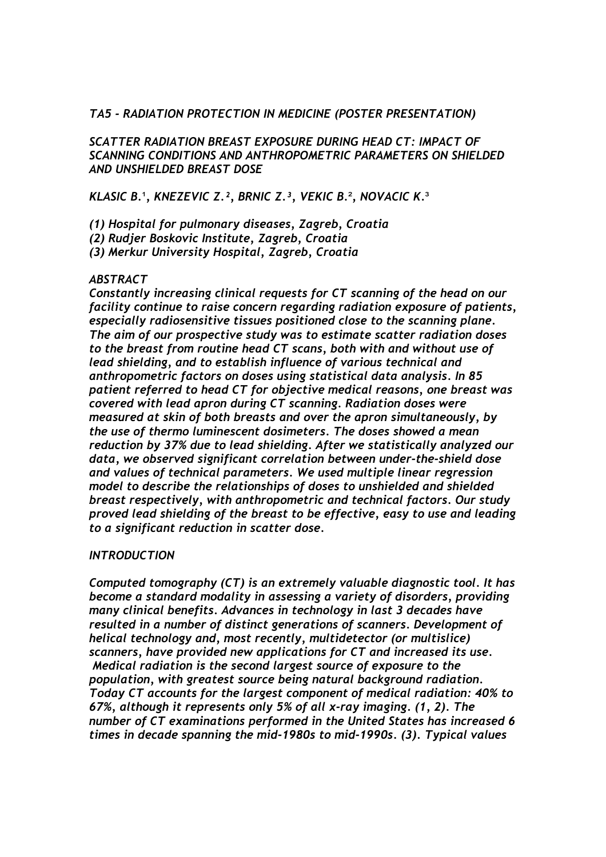### *TA5 - RADIATION PROTECTION IN MEDICINE (POSTER PRESENTATION)*

*SCATTER RADIATION BREAST EXPOSURE DURING HEAD CT: IMPACT OF SCANNING CONDITIONS AND ANTHROPOMETRIC PARAMETERS ON SHIELDED AND UNSHIELDED BREAST DOSE* 

*KLASIC B.*¹*, KNEZEVIC Z.², BRNIC Z.³, VEKIC B.*²*, NOVACIC K.*³

*(1) Hospital for pulmonary diseases, Zagreb, Croatia* 

*(2) Rudjer Boskovic Institute, Zagreb, Croatia* 

*(3) Merkur University Hospital, Zagreb, Croatia* 

### *ABSTRACT*

*Constantly increasing clinical requests for CT scanning of the head on our facility continue to raise concern regarding radiation exposure of patients, especially radiosensitive tissues positioned close to the scanning plane. The aim of our prospective study was to estimate scatter radiation doses to the breast from routine head CT scans, both with and without use of lead shielding, and to establish influence of various technical and anthropometric factors on doses using statistical data analysis. In 85 patient referred to head CT for objective medical reasons, one breast was covered with lead apron during CT scanning. Radiation doses were measured at skin of both breasts and over the apron simultaneously, by the use of thermo luminescent dosimeters. The doses showed a mean reduction by 37% due to lead shielding. After we statistically analyzed our data, we observed significant correlation between under-the-shield dose and values of technical parameters. We used multiple linear regression model to describe the relationships of doses to unshielded and shielded breast respectively, with anthropometric and technical factors. Our study proved lead shielding of the breast to be effective, easy to use and leading to a significant reduction in scatter dose.* 

### *INTRODUCTION*

*Computed tomography (CT) is an extremely valuable diagnostic tool. It has become a standard modality in assessing a variety of disorders, providing many clinical benefits. Advances in technology in last 3 decades have resulted in a number of distinct generations of scanners. Development of helical technology and, most recently, multidetector (or multislice) scanners, have provided new applications for CT and increased its use. Medical radiation is the second largest source of exposure to the population, with greatest source being natural background radiation. Today CT accounts for the largest component of medical radiation: 40% to 67%, although it represents only 5% of all x-ray imaging. (1, 2). The number of CT examinations performed in the United States has increased 6 times in decade spanning the mid-1980s to mid-1990s. (3). Typical values*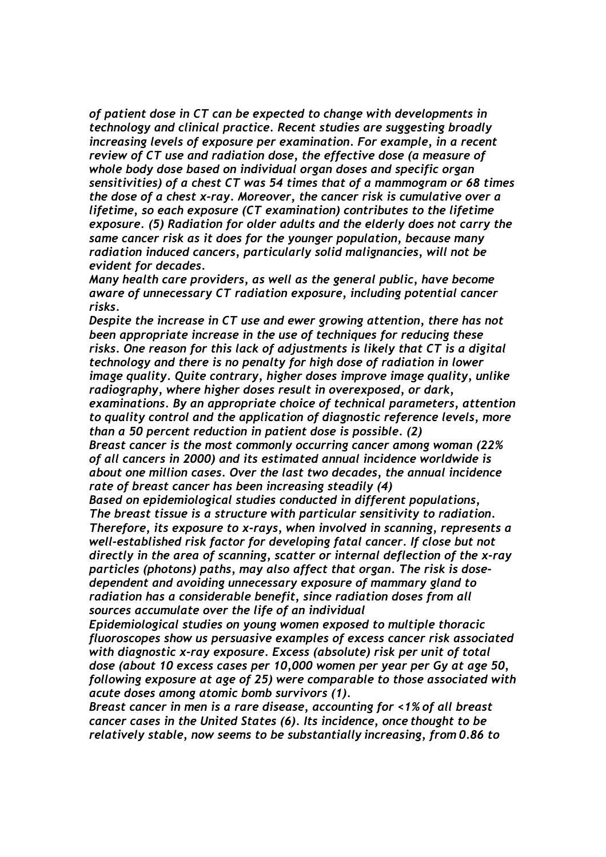*of patient dose in CT can be expected to change with developments in technology and clinical practice. Recent studies are suggesting broadly increasing levels of exposure per examination. For example, in a recent review of CT use and radiation dose, the effective dose (a measure of whole body dose based on individual organ doses and specific organ sensitivities) of a chest CT was 54 times that of a mammogram or 68 times the dose of a chest x-ray. Moreover, the cancer risk is cumulative over a lifetime, so each exposure (CT examination) contributes to the lifetime exposure. (5) Radiation for older adults and the elderly does not carry the same cancer risk as it does for the younger population, because many radiation induced cancers, particularly solid malignancies, will not be evident for decades.* 

*Many health care providers, as well as the general public, have become aware of unnecessary CT radiation exposure, including potential cancer risks.* 

*Despite the increase in CT use and ewer growing attention, there has not been appropriate increase in the use of techniques for reducing these risks. One reason for this lack of adjustments is likely that CT is a digital technology and there is no penalty for high dose of radiation in lower image quality. Quite contrary, higher doses improve image quality, unlike radiography, where higher doses result in overexposed, or dark, examinations. By an appropriate choice of technical parameters, attention to quality control and the application of diagnostic reference levels, more than a 50 percent reduction in patient dose is possible. (2) Breast cancer is the most commonly occurring cancer among woman (22% of all cancers in 2000) and its estimated annual incidence worldwide is about one million cases. Over the last two decades, the annual incidence* 

*rate of breast cancer has been increasing steadily (4)* 

*Based on epidemiological studies conducted in different populations, The breast tissue is a structure with particular sensitivity to radiation. Therefore, its exposure to x-rays, when involved in scanning, represents a well-established risk factor for developing fatal cancer. If close but not directly in the area of scanning, scatter or internal deflection of the x-ray particles (photons) paths, may also affect that organ. The risk is dosedependent and avoiding unnecessary exposure of mammary gland to radiation has a considerable benefit, since radiation doses from all sources accumulate over the life of an individual* 

*Epidemiological studies on young women exposed to multiple thoracic fluoroscopes show us persuasive examples of excess cancer risk associated with diagnostic x-ray exposure. Excess (absolute) risk per unit of total dose (about 10 excess cases per 10,000 women per year per Gy at age 50, following exposure at age of 25) were comparable to those associated with acute doses among atomic bomb survivors (1).* 

*Breast cancer in men is a rare disease, accounting for <1% of all breast cancer cases in the United States (6). Its incidence, once thought to be relatively stable, now seems to be substantially increasing, from 0.86 to*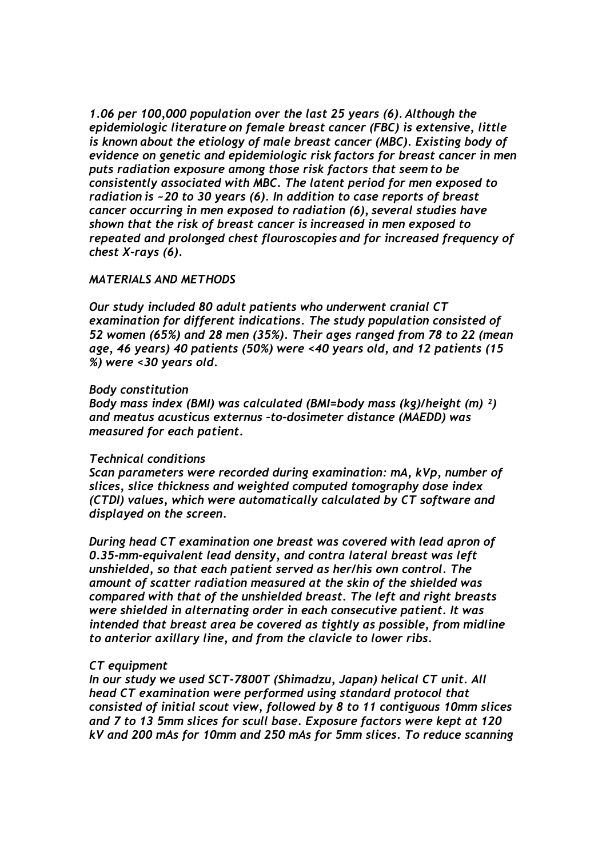*1.06 per 100,000 population over the last 25 years (6). Although the epidemiologic literature on female breast cancer (FBC) is extensive, little is known about the etiology of male breast cancer (MBC). Existing body of evidence on genetic and epidemiologic risk factors for breast cancer in men puts radiation exposure among those risk factors that seem to be consistently associated with MBC. The latent period for men exposed to radiation is ~20 to 30 years (6). In addition to case reports of breast cancer occurring in men exposed to radiation (6), several studies have shown that the risk of breast cancer is increased in men exposed to repeated and prolonged chest flouroscopies and for increased frequency of chest X-rays (6).*

### *MATERIALS AND METHODS*

*Our study included 80 adult patients who underwent cranial CT examination for different indications. The study population consisted of 52 women (65%) and 28 men (35%). Their ages ranged from 78 to 22 (mean age, 46 years) 40 patients (50%) were <40 years old, and 12 patients (15 %) were <30 years old.* 

#### *Body constitution*

*Body mass index (BMI) was calculated (BMI=body mass (kg)/height (m) ²) and meatus acusticus externus –to-dosimeter distance (MAEDD) was measured for each patient.* 

### *Technical conditions*

*Scan parameters were recorded during examination: mA, kVp, number of slices, slice thickness and weighted computed tomography dose index (CTDI) values, which were automatically calculated by CT software and displayed on the screen.* 

*During head CT examination one breast was covered with lead apron of 0.35-mm-equivalent lead density, and contra lateral breast was left unshielded, so that each patient served as her/his own control. The amount of scatter radiation measured at the skin of the shielded was compared with that of the unshielded breast. The left and right breasts were shielded in alternating order in each consecutive patient. It was intended that breast area be covered as tightly as possible, from midline to anterior axillary line, and from the clavicle to lower ribs.* 

### *CT equipment*

*In our study we used SCT-7800T (Shimadzu, Japan) helical CT unit. All head CT examination were performed using standard protocol that consisted of initial scout view, followed by 8 to 11 contiguous 10mm slices and 7 to 13 5mm slices for scull base. Exposure factors were kept at 120 kV and 200 mAs for 10mm and 250 mAs for 5mm slices. To reduce scanning*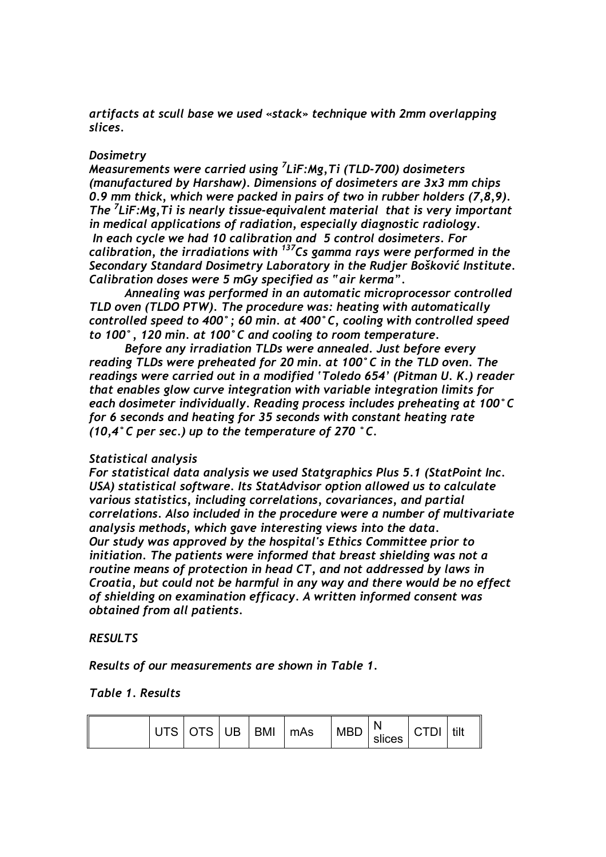*artifacts at scull base we used «stack» technique with 2mm overlapping slices.* 

### *Dosimetry*

*Measurements were carried using 7 LiF:Mg,Ti (TLD-700) dosimeters (manufactured by Harshaw). Dimensions of dosimeters are 3x3 mm chips 0.9 mm thick, which were packed in pairs of two in rubber holders (7,8,9). The 7 LiF:Mg,Ti is nearly tissue-equivalent material that is very important in medical applications of radiation, especially diagnostic radiology. In each cycle we had 10 calibration and 5 control dosimeters. For calibration, the irradiations with 137Cs gamma rays were performed in the Secondary Standard Dosimetry Laboratory in the Rudjer Bošković Institute. Calibration doses were 5 mGy specified as "air kerma".* 

 *Annealing was performed in an automatic microprocessor controlled TLD oven (TLDO PTW). The procedure was: heating with automatically controlled speed to 400°; 60 min. at 400°C, cooling with controlled speed to 100°, 120 min. at 100°C and cooling to room temperature.* 

 *Before any irradiation TLDs were annealed. Just before every reading TLDs were preheated for 20 min. at 100°C in the TLD oven. The readings were carried out in a modified 'Toledo 654' (Pitman U. K.) reader that enables glow curve integration with variable integration limits for each dosimeter individually. Reading process includes preheating at 100°C for 6 seconds and heating for 35 seconds with constant heating rate (10,4°C per sec.) up to the temperature of 270 °C.* 

### *Statistical analysis*

*For statistical data analysis we used Statgraphics Plus 5.1 (StatPoint Inc. USA) statistical software. Its StatAdvisor option allowed us to calculate various statistics, including correlations, covariances, and partial correlations. Also included in the procedure were a number of multivariate analysis methods, which gave interesting views into the data. Our study was approved by the hospital's Ethics Committee prior to initiation. The patients were informed that breast shielding was not a routine means of protection in head CT, and not addressed by laws in Croatia, but could not be harmful in any way and there would be no effect of shielding on examination efficacy. A written informed consent was obtained from all patients.* 

# *RESULTS*

*Results of our measurements are shown in Table 1.* 

### *Table 1. Results*

| UTS OTS UB BMI | $\lfloor mAs \rfloor$ | <b>MBD</b><br>slices |  | tilt |
|----------------|-----------------------|----------------------|--|------|
|----------------|-----------------------|----------------------|--|------|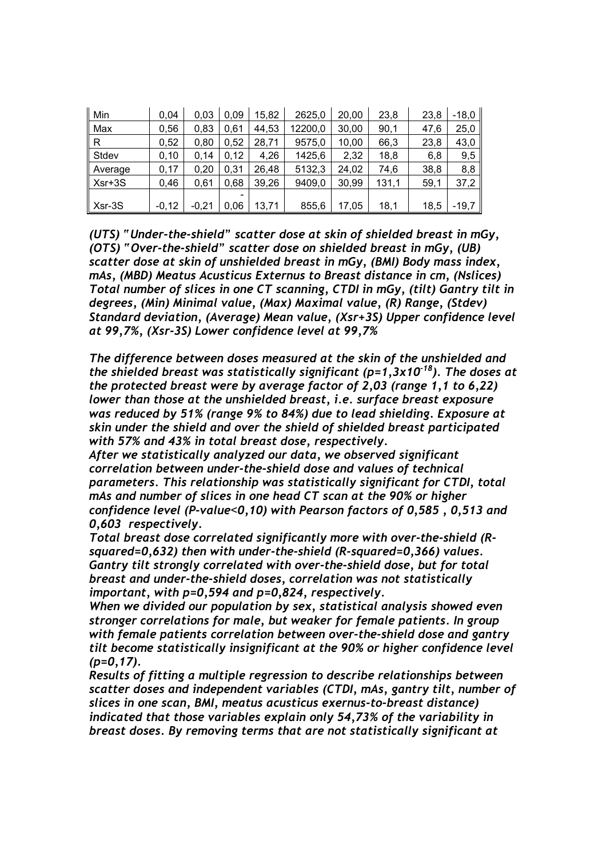| Min      | 0.04    | 0.03    | 0.09 | 15,82 | 2625,0  | 20,00 | 23,8  | 23,8 | $-18,0$ |
|----------|---------|---------|------|-------|---------|-------|-------|------|---------|
| Max      | 0,56    | 0.83    | 0.61 | 44,53 | 12200,0 | 30,00 | 90,1  | 47,6 | 25,0    |
| R        | 0,52    | 0.80    | 0,52 | 28.71 | 9575,0  | 10,00 | 66,3  | 23,8 | 43,0    |
| Stdev    | 0,10    | 0.14    | 0,12 | 4,26  | 1425,6  | 2.32  | 18,8  | 6,8  | 9,5     |
| Average  | 0,17    | 0,20    | 0.31 | 26,48 | 5132,3  | 24,02 | 74,6  | 38,8 | 8,8     |
| $Xsr+3S$ | 0,46    | 0.61    | 0.68 | 39,26 | 9409,0  | 30,99 | 131,1 | 59,1 | 37,2    |
|          |         |         |      |       |         |       |       |      |         |
| Xsr-3S   | $-0,12$ | $-0.21$ | 0.06 | 13,71 | 855,6   | 17.05 | 18,1  | 18,5 | $-19,7$ |

*(UTS) "Under-the-shield" scatter dose at skin of shielded breast in mGy, (OTS) "Over-the-shield" scatter dose on shielded breast in mGy, (UB) scatter dose at skin of unshielded breast in mGy, (BMI) Body mass index, mAs, (MBD) Meatus Acusticus Externus to Breast distance in cm, (Nslices) Total number of slices in one CT scanning, CTDI in mGy, (tilt) Gantry tilt in degrees, (Min) Minimal value, (Max) Maximal value, (R) Range, (Stdev) Standard deviation, (Average) Mean value, (Xsr+3S) Upper confidence level at 99,7%, (Xsr-3S) Lower confidence level at 99,7%* 

*The difference between doses measured at the skin of the unshielded and the shielded breast was statistically significant (p=1,3x10-18). The doses at the protected breast were by average factor of 2,03 (range 1,1 to 6,22) lower than those at the unshielded breast, i.e. surface breast exposure was reduced by 51% (range 9% to 84%) due to lead shielding. Exposure at skin under the shield and over the shield of shielded breast participated with 57% and 43% in total breast dose, respectively.* 

*After we statistically analyzed our data, we observed significant correlation between under-the-shield dose and values of technical parameters. This relationship was statistically significant for CTDI, total mAs and number of slices in one head CT scan at the 90% or higher confidence level (P-value*<*0,10) with Pearson factors of 0,585 , 0,513 and 0,603 respectively.* 

*Total breast dose correlated significantly more with over-the-shield (Rsquared=0,632) then with under-the-shield (R-squared=0,366) values. Gantry tilt strongly correlated with over-the-shield dose, but for total breast and under-the-shield doses, correlation was not statistically important, with p=0,594 and p=0,824, respectively.* 

*When we divided our population by sex, statistical analysis showed even stronger correlations for male, but weaker for female patients. In group with female patients correlation between over-the-shield dose and gantry tilt become statistically insignificant at the 90% or higher confidence level (p=0,17).* 

*Results of fitting a multiple regression to describe relationships between scatter doses and independent variables (CTDI, mAs, gantry tilt, number of slices in one scan, BMI, meatus acusticus exernus-to-breast distance) indicated that those variables explain only 54,73% of the variability in breast doses. By removing terms that are not statistically significant at*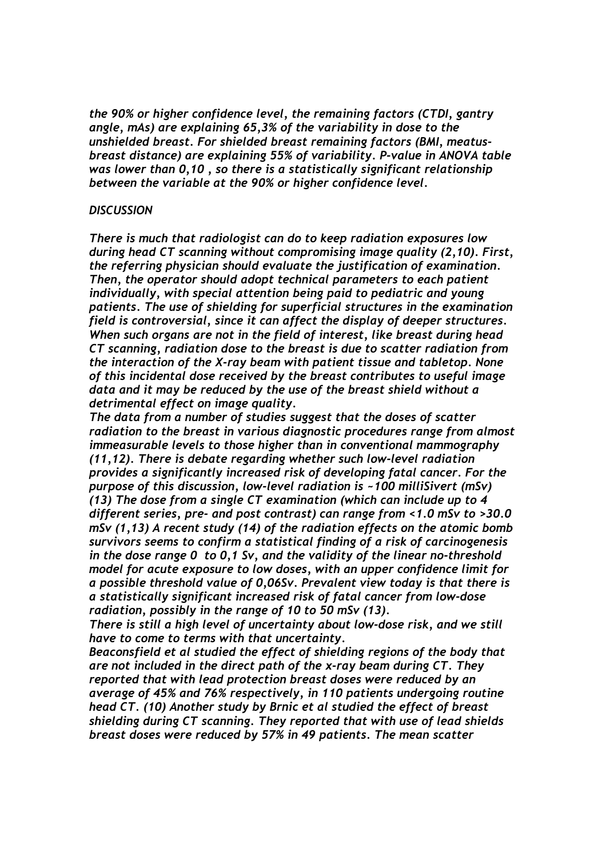*the 90% or higher confidence level, the remaining factors (CTDI, gantry angle, mAs) are explaining 65,3% of the variability in dose to the unshielded breast. For shielded breast remaining factors (BMI, meatusbreast distance) are explaining 55% of variability. P-value in ANOVA table was lower than 0,10 , so there is a statistically significant relationship between the variable at the 90% or higher confidence level.* 

#### *DISCUSSION*

*There is much that radiologist can do to keep radiation exposures low during head CT scanning without compromising image quality (2,10). First, the referring physician should evaluate the justification of examination. Then, the operator should adopt technical parameters to each patient individually, with special attention being paid to pediatric and young patients. The use of shielding for superficial structures in the examination field is controversial, since it can affect the display of deeper structures. When such organs are not in the field of interest, like breast during head CT scanning, radiation dose to the breast is due to scatter radiation from the interaction of the X-ray beam with patient tissue and tabletop. None of this incidental dose received by the breast contributes to useful image data and it may be reduced by the use of the breast shield without a detrimental effect on image quality.* 

*The data from a number of studies suggest that the doses of scatter radiation to the breast in various diagnostic procedures range from almost immeasurable levels to those higher than in conventional mammography (11,12). There is debate regarding whether such low-level radiation provides a significantly increased risk of developing fatal cancer. For the purpose of this discussion, low-level radiation is ~100 milliSivert (mSv) (13) The dose from a single CT examination (which can include up to 4 different series, pre- and post contrast) can range from <1.0 mSv to >30.0 mSv (1,13) A recent study (14) of the radiation effects on the atomic bomb survivors seems to confirm a statistical finding of a risk of carcinogenesis in the dose range 0 to 0,1 Sv, and the validity of the linear no-threshold model for acute exposure to low doses, with an upper confidence limit for a possible threshold value of 0,06Sv. Prevalent view today is that there is a statistically significant increased risk of fatal cancer from low-dose radiation, possibly in the range of 10 to 50 mSv (13).* 

*There is still a high level of uncertainty about low-dose risk, and we still have to come to terms with that uncertainty.* 

*Beaconsfield et al studied the effect of shielding regions of the body that are not included in the direct path of the x-ray beam during CT. They reported that with lead protection breast doses were reduced by an average of 45% and 76% respectively, in 110 patients undergoing routine head CT. (10) Another study by Brnic et al studied the effect of breast shielding during CT scanning. They reported that with use of lead shields breast doses were reduced by 57% in 49 patients. The mean scatter*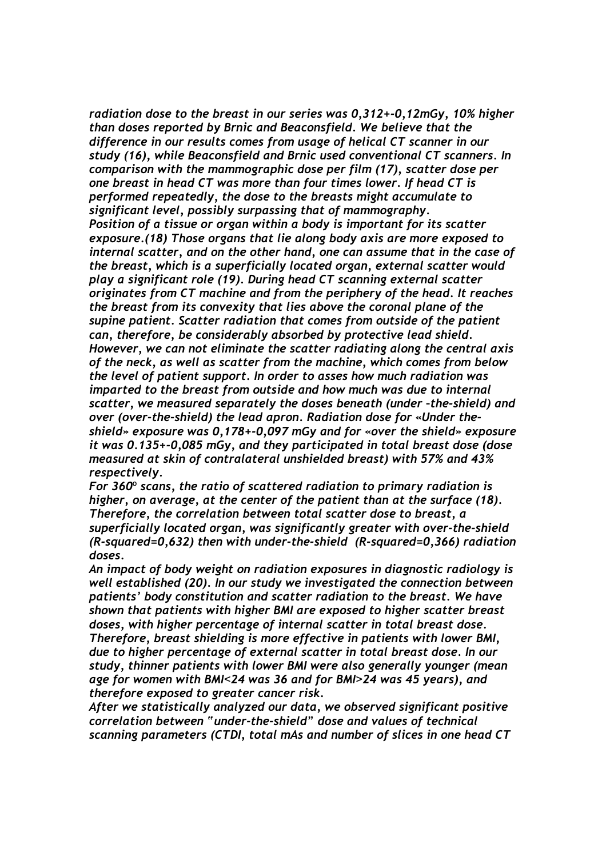*radiation dose to the breast in our series was 0,312+-0,12mGy, 10% higher than doses reported by Brnic and Beaconsfield. We believe that the difference in our results comes from usage of helical CT scanner in our study (16), while Beaconsfield and Brnic used conventional CT scanners. In comparison with the mammographic dose per film (17), scatter dose per one breast in head CT was more than four times lower. If head CT is performed repeatedly, the dose to the breasts might accumulate to significant level, possibly surpassing that of mammography. Position of a tissue or organ within a body is important for its scatter exposure.(18) Those organs that lie along body axis are more exposed to internal scatter, and on the other hand, one can assume that in the case of the breast, which is a superficially located organ, external scatter would play a significant role (19). During head CT scanning external scatter originates from CT machine and from the periphery of the head. It reaches the breast from its convexity that lies above the coronal plane of the supine patient. Scatter radiation that comes from outside of the patient can, therefore, be considerably absorbed by protective lead shield. However, we can not eliminate the scatter radiating along the central axis of the neck, as well as scatter from the machine, which comes from below the level of patient support. In order to asses how much radiation was imparted to the breast from outside and how much was due to internal scatter, we measured separately the doses beneath (under –the-shield) and over (over-the-shield) the lead apron. Radiation dose for «Under theshield» exposure was 0,178+-0,097 mGy and for «over the shield» exposure it was 0.135+-0,085 mGy, and they participated in total breast dose (dose measured at skin of contralateral unshielded breast) with 57% and 43% respectively.* 

*For 360*º *scans, the ratio of scattered radiation to primary radiation is higher, on average, at the center of the patient than at the surface (18). Therefore, the correlation between total scatter dose to breast, a superficially located organ, was significantly greater with over-the-shield (R-squared=0,632) then with under-the-shield (R-squared=0,366) radiation doses.* 

*An impact of body weight on radiation exposures in diagnostic radiology is well established (20). In our study we investigated the connection between patients' body constitution and scatter radiation to the breast. We have shown that patients with higher BMI are exposed to higher scatter breast doses, with higher percentage of internal scatter in total breast dose. Therefore, breast shielding is more effective in patients with lower BMI, due to higher percentage of external scatter in total breast dose. In our study, thinner patients with lower BMI were also generally younger (mean age for women with BMI*<*24 was 36 and for BMI*>*24 was 45 years), and therefore exposed to greater cancer risk.* 

*After we statistically analyzed our data, we observed significant positive correlation between "under-the-shield" dose and values of technical scanning parameters (CTDI, total mAs and number of slices in one head CT*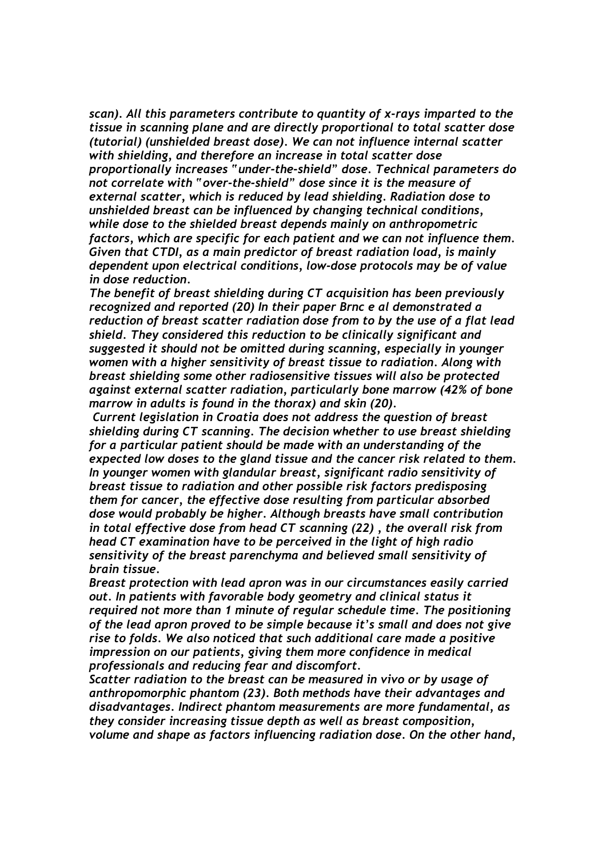*scan). All this parameters contribute to quantity of x-rays imparted to the tissue in scanning plane and are directly proportional to total scatter dose (tutorial) (unshielded breast dose). We can not influence internal scatter with shielding, and therefore an increase in total scatter dose proportionally increases "under-the-shield" dose. Technical parameters do not correlate with "over-the-shield" dose since it is the measure of external scatter, which is reduced by lead shielding. Radiation dose to unshielded breast can be influenced by changing technical conditions, while dose to the shielded breast depends mainly on anthropometric factors, which are specific for each patient and we can not influence them. Given that CTDI, as a main predictor of breast radiation load, is mainly dependent upon electrical conditions, low-dose protocols may be of value in dose reduction.* 

*The benefit of breast shielding during CT acquisition has been previously recognized and reported (20) In their paper Brnc e al demonstrated a reduction of breast scatter radiation dose from to by the use of a flat lead shield. They considered this reduction to be clinically significant and suggested it should not be omitted during scanning, especially in younger women with a higher sensitivity of breast tissue to radiation. Along with breast shielding some other radiosensitive tissues will also be protected against external scatter radiation, particularly bone marrow (42% of bone marrow in adults is found in the thorax) and skin (20).* 

 *Current legislation in Croatia does not address the question of breast shielding during CT scanning. The decision whether to use breast shielding for a particular patient should be made with an understanding of the expected low doses to the gland tissue and the cancer risk related to them. In younger women with glandular breast, significant radio sensitivity of breast tissue to radiation and other possible risk factors predisposing them for cancer, the effective dose resulting from particular absorbed dose would probably be higher. Although breasts have small contribution in total effective dose from head CT scanning (22) , the overall risk from head CT examination have to be perceived in the light of high radio sensitivity of the breast parenchyma and believed small sensitivity of brain tissue.* 

*Breast protection with lead apron was in our circumstances easily carried out. In patients with favorable body geometry and clinical status it required not more than 1 minute of regular schedule time. The positioning of the lead apron proved to be simple because it's small and does not give rise to folds. We also noticed that such additional care made a positive impression on our patients, giving them more confidence in medical professionals and reducing fear and discomfort.* 

*Scatter radiation to the breast can be measured in vivo or by usage of anthropomorphic phantom (23). Both methods have their advantages and disadvantages. Indirect phantom measurements are more fundamental, as they consider increasing tissue depth as well as breast composition, volume and shape as factors influencing radiation dose. On the other hand,*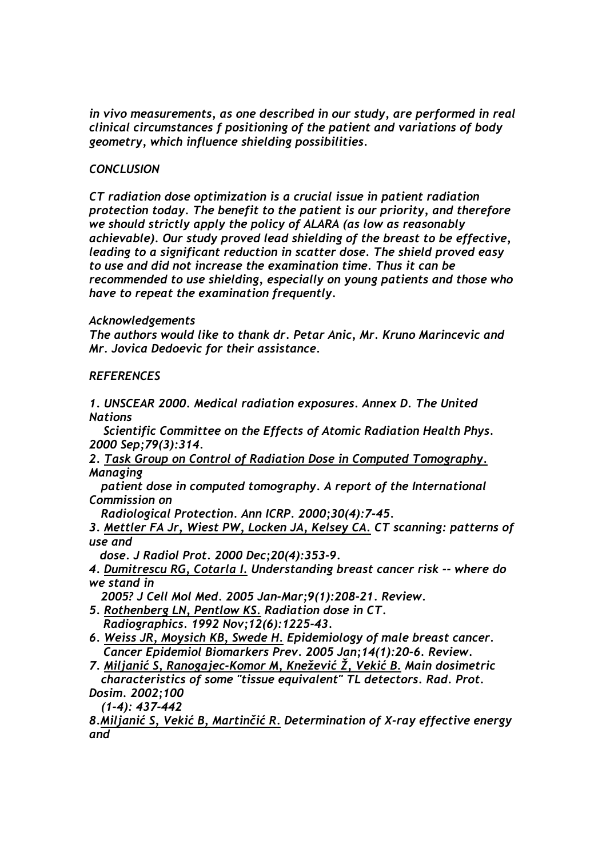*in vivo measurements, as one described in our study, are performed in real clinical circumstances f positioning of the patient and variations of body geometry, which influence shielding possibilities.* 

# *CONCLUSION*

*CT radiation dose optimization is a crucial issue in patient radiation protection today. The benefit to the patient is our priority, and therefore we should strictly apply the policy of ALARA (as low as reasonably achievable). Our study proved lead shielding of the breast to be effective, leading to a significant reduction in scatter dose. The shield proved easy to use and did not increase the examination time. Thus it can be recommended to use shielding, especially on young patients and those who have to repeat the examination frequently.* 

# *Acknowledgements*

*The authors would like to thank dr. Petar Anic, Mr. Kruno Marincevic and Mr. Jovica Dedoevic for their assistance.* 

# *REFERENCES*

*1. UNSCEAR 2000. Medical radiation exposures. Annex D. The United Nations* 

 *Scientific Committee on the Effects of Atomic Radiation Health Phys. 2000 Sep;79(3):314.* 

*2. Task Group on Control of Radiation Dose in Computed Tomography. Managing* 

*patient dose in computed tomography. A report of the International Commission on* 

*Radiological Protection. Ann ICRP. 2000;30(4):7-45.* 

*3. Mettler FA Jr, Wiest PW, Locken JA, Kelsey CA. CT scanning: patterns of use and* 

 *dose. J Radiol Prot. 2000 Dec;20(4):353-9.* 

*4. Dumitrescu RG, Cotarla I. Understanding breast cancer risk -- where do we stand in* 

*2005? J Cell Mol Med. 2005 Jan-Mar;9(1):208-21. Review.* 

- *5. Rothenberg LN, Pentlow KS. Radiation dose in CT. Radiographics. 1992 Nov;12(6):1225-43.*
- *6. Weiss JR, Moysich KB, Swede H. Epidemiology of male breast cancer. Cancer Epidemiol Biomarkers Prev. 2005 Jan;14(1):20-6. Review.*
- *7. Miljanić S, Ranogajec-Komor M, Knežević Ž, Vekić B. Main dosimetric characteristics of some "tissue equivalent" TL detectors. Rad. Prot. Dosim. 2002;100*

*(1-4): 437-442* 

*8.Miljanić S, Vekić B, Martinčić R. Determination of X-ray effective energy and*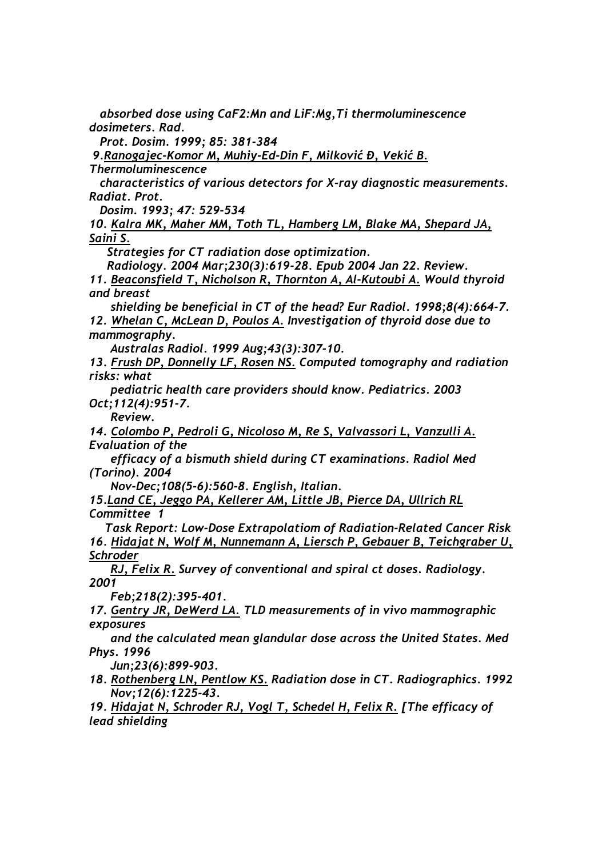*absorbed dose using CaF2:Mn and LiF:Mg,Ti thermoluminescence dosimeters. Rad.* 

 *Prot. Dosim. 1999; 85: 381-384* 

 *9.Ranogajec-Komor M, Muhiy-Ed-Din F, Milković Đ, Vekić B.*

*Thermoluminescence* 

 *characteristics of various detectors for X-ray diagnostic measurements. Radiat. Prot.* 

 *Dosim. 1993; 47: 529-534* 

*10. Kalra MK, Maher MM, Toth TL, Hamberg LM, Blake MA, Shepard JA, Saini S.* 

 *Strategies for CT radiation dose optimization.* 

 *Radiology. 2004 Mar;230(3):619-28. Epub 2004 Jan 22. Review.* 

*11. Beaconsfield T, Nicholson R, Thornton A, Al-Kutoubi A. Would thyroid and breast* 

 *shielding be beneficial in CT of the head? Eur Radiol. 1998;8(4):664-7. 12. Whelan C, McLean D, Poulos A. Investigation of thyroid dose due to mammography.* 

 *Australas Radiol. 1999 Aug;43(3):307-10.* 

*13. Frush DP, Donnelly LF, Rosen NS. Computed tomography and radiation risks: what* 

 *pediatric health care providers should know. Pediatrics. 2003 Oct;112(4):951-7.* 

 *Review.* 

*14. Colombo P, Pedroli G, Nicoloso M, Re S, Valvassori L, Vanzulli A. Evaluation of the* 

 *efficacy of a bismuth shield during CT examinations. Radiol Med (Torino). 2004* 

 *Nov-Dec;108(5-6):560-8. English, Italian.* 

*15.Land CE, Jeggo PA, Kellerer AM, Little JB, Pierce DA, Ullrich RL Committee 1* 

 *Task Report: Low-Dose Extrapolatiom of Radiation-Related Cancer Risk 16. Hidajat N, Wolf M, Nunnemann A, Liersch P, Gebauer B, Teichgraber U, Schroder* 

 *RJ, Felix R. Survey of conventional and spiral ct doses. Radiology. 2001* 

 *Feb;218(2):395-401.* 

*17. Gentry JR, DeWerd LA. TLD measurements of in vivo mammographic exposures* 

 *and the calculated mean glandular dose across the United States. Med Phys. 1996* 

 *Jun;23(6):899-903.* 

*18. Rothenberg LN, Pentlow KS. Radiation dose in CT. Radiographics. 1992 Nov;12(6):1225-43.* 

*19. Hidajat N, Schroder RJ, Vogl T, Schedel H, Felix R. [The efficacy of lead shielding*